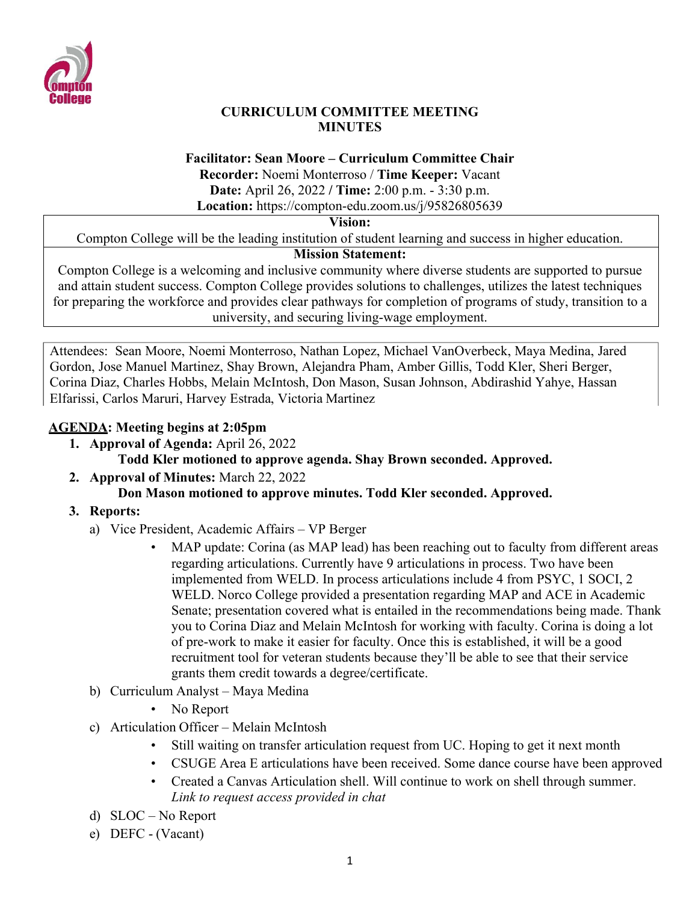

### **CURRICULUM COMMITTEE MEETING MINUTES**

### **Facilitator: Sean Moore – Curriculum Committee Chair**

**Recorder:** Noemi Monterroso / **Time Keeper:** Vacant

**Date:** April 26, 2022 **/ Time:** 2:00 p.m. - 3:30 p.m.

**Location:** https://compton-edu.zoom.us/j/95826805639

**Vision:**

Compton College will be the leading institution of student learning and success in higher education.

# **Mission Statement:**

Compton College is a welcoming and inclusive community where diverse students are supported to pursue and attain student success. Compton College provides solutions to challenges, utilizes the latest techniques for preparing the workforce and provides clear pathways for completion of programs of study, transition to a university, and securing living-wage employment.

Attendees: Sean Moore, Noemi Monterroso, Nathan Lopez, Michael VanOverbeck, Maya Medina, Jared Gordon, Jose Manuel Martinez, Shay Brown, Alejandra Pham, Amber Gillis, Todd Kler, Sheri Berger, Corina Diaz, Charles Hobbs, Melain McIntosh, Don Mason, Susan Johnson, Abdirashid Yahye, Hassan Elfarissi, Carlos Maruri, Harvey Estrada, Victoria Martinez

# **AGENDA: Meeting begins at 2:05pm**

- **1. Approval of Agenda:** April 26, 2022 **Todd Kler motioned to approve agenda. Shay Brown seconded. Approved.**
- **2. Approval of Minutes:** March 22, 2022 **Don Mason motioned to approve minutes. Todd Kler seconded. Approved.**
- **3. Reports:**
	- a) Vice President, Academic Affairs VP Berger
		- MAP update: Corina (as MAP lead) has been reaching out to faculty from different areas regarding articulations. Currently have 9 articulations in process. Two have been implemented from WELD. In process articulations include 4 from PSYC, 1 SOCI, 2 WELD. Norco College provided a presentation regarding MAP and ACE in Academic Senate; presentation covered what is entailed in the recommendations being made. Thank you to Corina Diaz and Melain McIntosh for working with faculty. Corina is doing a lot of pre-work to make it easier for faculty. Once this is established, it will be a good recruitment tool for veteran students because they'll be able to see that their service grants them credit towards a degree/certificate.
	- b) Curriculum Analyst Maya Medina
		- No Report
	- c) Articulation Officer Melain McIntosh
		- Still waiting on transfer articulation request from UC. Hoping to get it next month
		- CSUGE Area E articulations have been received. Some dance course have been approved
		- Created a Canvas Articulation shell. Will continue to work on shell through summer. *Link to request access provided in chat*
	- d) SLOC No Report
	- e) DEFC (Vacant)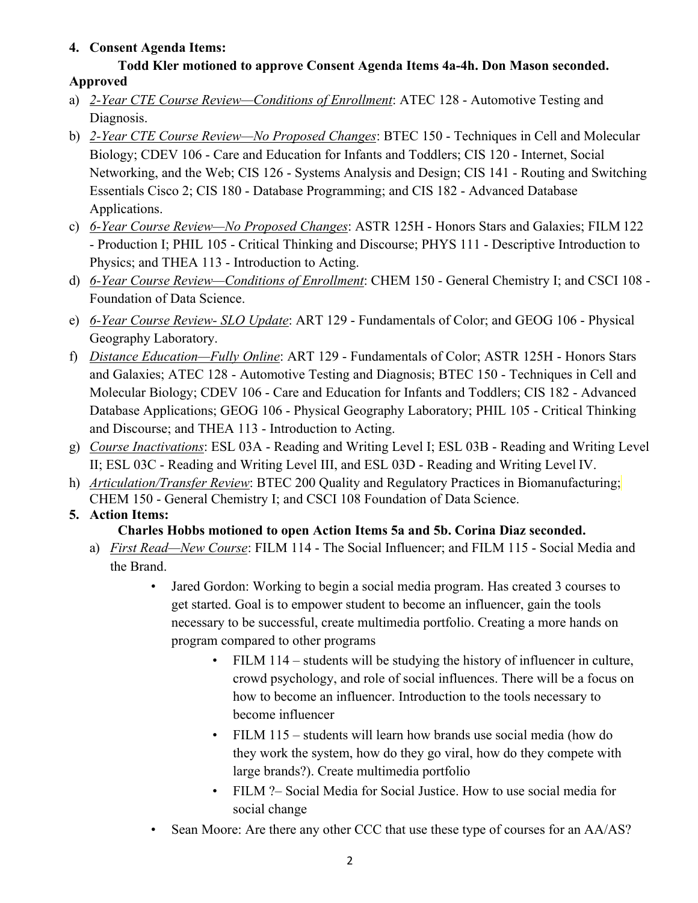## **4. Consent Agenda Items:**

### **Todd Kler motioned to approve Consent Agenda Items 4a-4h. Don Mason seconded. Approved**

- a) *2-Year CTE Course Review—Conditions of Enrollment*: ATEC 128 Automotive Testing and Diagnosis.
- b) *2-Year CTE Course Review—No Proposed Changes*: BTEC 150 Techniques in Cell and Molecular Biology; CDEV 106 - Care and Education for Infants and Toddlers; CIS 120 - Internet, Social Networking, and the Web; CIS 126 - Systems Analysis and Design; CIS 141 - Routing and Switching Essentials Cisco 2; CIS 180 - Database Programming; and CIS 182 - Advanced Database Applications.
- c) *6-Year Course Review—No Proposed Changes*: ASTR 125H Honors Stars and Galaxies; FILM 122 - Production I; PHIL 105 - Critical Thinking and Discourse; PHYS 111 - Descriptive Introduction to Physics; and THEA 113 - Introduction to Acting.
- d) *6-Year Course Review—Conditions of Enrollment*: CHEM 150 General Chemistry I; and CSCI 108 Foundation of Data Science.
- e) *6-Year Course Review- SLO Update*: ART 129 Fundamentals of Color; and GEOG 106 Physical Geography Laboratory.
- f) *Distance Education—Fully Online*: ART 129 Fundamentals of Color; ASTR 125H Honors Stars and Galaxies; ATEC 128 - Automotive Testing and Diagnosis; BTEC 150 - Techniques in Cell and Molecular Biology; CDEV 106 - Care and Education for Infants and Toddlers; CIS 182 - Advanced Database Applications; GEOG 106 - Physical Geography Laboratory; PHIL 105 - Critical Thinking and Discourse; and THEA 113 - Introduction to Acting.
- g) *Course Inactivations*: ESL 03A Reading and Writing Level I; ESL 03B Reading and Writing Level II; ESL 03C - Reading and Writing Level III, and ESL 03D - Reading and Writing Level IV.
- h) *Articulation/Transfer Review*: BTEC 200 Quality and Regulatory Practices in Biomanufacturing; CHEM 150 - General Chemistry I; and CSCI 108 Foundation of Data Science.

# **5. Action Items:**

## **Charles Hobbs motioned to open Action Items 5a and 5b. Corina Diaz seconded.**

- a) *First Read—New Course*: FILM 114 The Social Influencer; and FILM 115 Social Media and the Brand.
	- Jared Gordon: Working to begin a social media program. Has created 3 courses to get started. Goal is to empower student to become an influencer, gain the tools necessary to be successful, create multimedia portfolio. Creating a more hands on program compared to other programs
		- FILM 114 students will be studying the history of influencer in culture, crowd psychology, and role of social influences. There will be a focus on how to become an influencer. Introduction to the tools necessary to become influencer
		- FILM 115 students will learn how brands use social media (how do they work the system, how do they go viral, how do they compete with large brands?). Create multimedia portfolio
		- FILM ?– Social Media for Social Justice. How to use social media for social change
	- Sean Moore: Are there any other CCC that use these type of courses for an AA/AS?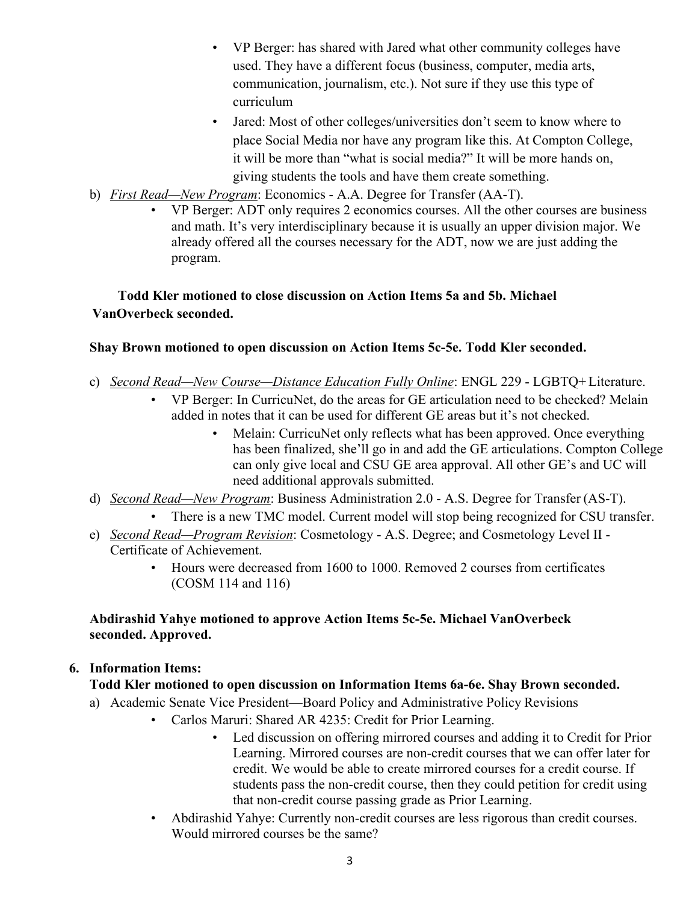- VP Berger: has shared with Jared what other community colleges have used. They have a different focus (business, computer, media arts, communication, journalism, etc.). Not sure if they use this type of curriculum
- Jared: Most of other colleges/universities don't seem to know where to place Social Media nor have any program like this. At Compton College, it will be more than "what is social media?" It will be more hands on, giving students the tools and have them create something.
- b) *First Read—New Program*: Economics A.A. Degree for Transfer (AA-T).
	- VP Berger: ADT only requires 2 economics courses. All the other courses are business and math. It's very interdisciplinary because it is usually an upper division major. We already offered all the courses necessary for the ADT, now we are just adding the program.

## **Todd Kler motioned to close discussion on Action Items 5a and 5b. Michael VanOverbeck seconded.**

### **Shay Brown motioned to open discussion on Action Items 5c-5e. Todd Kler seconded.**

- c) *Second Read—New Course—Distance Education Fully Online*: ENGL 229 LGBTQ+ Literature.
	- VP Berger: In CurricuNet, do the areas for GE articulation need to be checked? Melain added in notes that it can be used for different GE areas but it's not checked.
		- Melain: CurricuNet only reflects what has been approved. Once everything has been finalized, she'll go in and add the GE articulations. Compton College can only give local and CSU GE area approval. All other GE's and UC will need additional approvals submitted.
- d) *Second Read—New Program*: Business Administration 2.0 A.S. Degree for Transfer (AS-T).
	- There is a new TMC model. Current model will stop being recognized for CSU transfer.
- e) *Second Read—Program Revision*: Cosmetology A.S. Degree; and Cosmetology Level II Certificate of Achievement.
	- Hours were decreased from 1600 to 1000. Removed 2 courses from certificates (COSM 114 and 116)

### **Abdirashid Yahye motioned to approve Action Items 5c-5e. Michael VanOverbeck seconded. Approved.**

### **6. Information Items:**

## **Todd Kler motioned to open discussion on Information Items 6a-6e. Shay Brown seconded.**

- a) Academic Senate Vice President—Board Policy and Administrative Policy Revisions
	- Carlos Maruri: Shared AR 4235: Credit for Prior Learning.
		- Led discussion on offering mirrored courses and adding it to Credit for Prior Learning. Mirrored courses are non-credit courses that we can offer later for credit. We would be able to create mirrored courses for a credit course. If students pass the non-credit course, then they could petition for credit using that non-credit course passing grade as Prior Learning.
	- Abdirashid Yahye: Currently non-credit courses are less rigorous than credit courses. Would mirrored courses be the same?